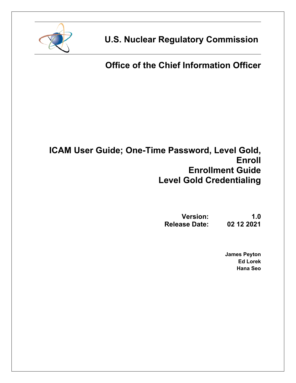

**U.S. Nuclear Regulatory Commission**

# **Office of the Chief Information Officer**

## **ICAM User Guide; One-Time Password, Level Gold, Enroll Enrollment Guide Level Gold Credentialing**

**Version: 1.0 Release Date:** 

> **James Peyton Ed Lorek Hana Seo**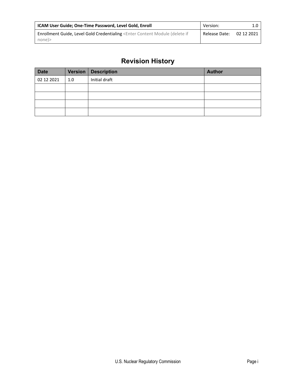| <b>ICAM User Guide; One-Time Password, Level Gold, Enroll</b>                                                                                    | Version:      |            |
|--------------------------------------------------------------------------------------------------------------------------------------------------|---------------|------------|
| Enrollment Guide, Level Gold Credentialing <enter (delete="" content="" if<="" module="" td=""><td>Release Date:</td><td>02 12 2021</td></enter> | Release Date: | 02 12 2021 |
| none)>                                                                                                                                           |               |            |

### **Revision History**

| <b>Date</b> |     | Version   Description | <b>Author</b> |
|-------------|-----|-----------------------|---------------|
| 02 12 2021  | 1.0 | Initial draft         |               |
|             |     |                       |               |
|             |     |                       |               |
|             |     |                       |               |
|             |     |                       |               |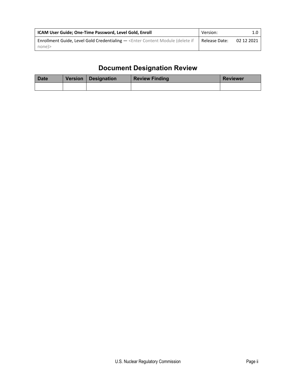| ICAM User Guide; One-Time Password, Level Gold, Enroll                                                          | Version:      |            |
|-----------------------------------------------------------------------------------------------------------------|---------------|------------|
| <b>Enrollment Guide, Level Gold Credentialing — <enter (delete="" b="" content="" if<="" module=""></enter></b> | Release Date: | 02 12 2021 |
| none                                                                                                            |               |            |

## **Document Designation Review**

| <b>Date</b> | Version   Designation | <b>Review Finding</b> | <b>Reviewer</b> |
|-------------|-----------------------|-----------------------|-----------------|
|             |                       |                       |                 |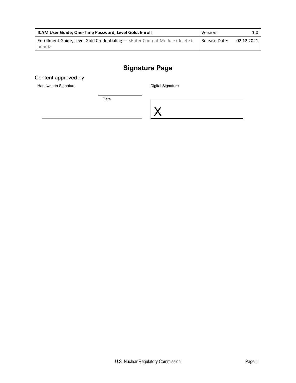| ICAM User Guide; One-Time Password, Level Gold, Enroll                                                          | Version:      |            |
|-----------------------------------------------------------------------------------------------------------------|---------------|------------|
| <b>Enrollment Guide, Level Gold Credentialing — <enter (delete="" b="" content="" if<="" module=""></enter></b> | Release Date: | 02 12 2021 |
| none)>                                                                                                          |               |            |

### **Signature Page**

Content approved by

Handwritten Signature

Digital Signature

Date

X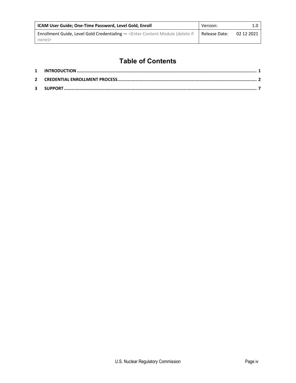| <b>ICAM User Guide; One-Time Password, Level Gold, Enroll</b>                            | Version:      |            |
|------------------------------------------------------------------------------------------|---------------|------------|
| Enrollment Guide, Level Gold Credentialing - < Enter Content Module (delete if<br>none)> | Release Date: | 02 12 2021 |

### **Table of Contents**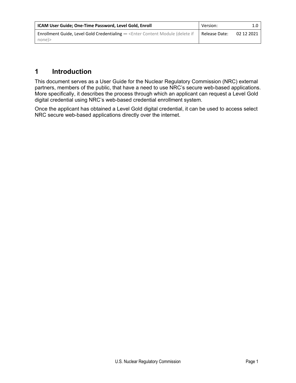| <b>ICAM User Guide; One-Time Password, Level Gold, Enroll</b>                  | Version:      |            |
|--------------------------------------------------------------------------------|---------------|------------|
| Enrollment Guide, Level Gold Credentialing - < Enter Content Module (delete if | Release Date: | 02 12 2021 |
| none)>                                                                         |               |            |

### <span id="page-5-0"></span>**1 Introduction**

This document serves as a User Guide for the Nuclear Regulatory Commission (NRC) external partners, members of the public, that have a need to use NRC's secure web-based applications. More specifically, it describes the process through which an applicant can request a Level Gold digital credential using NRC's web-based credential enrollment system.

Once the applicant has obtained a Level Gold digital credential, it can be used to access select NRC secure web-based applications directly over the internet.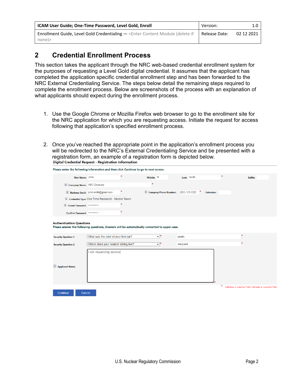| <b>ICAM User Guide; One-Time Password, Level Gold, Enroll</b>                  | Version:      |            |
|--------------------------------------------------------------------------------|---------------|------------|
| Enrollment Guide, Level Gold Credentialing - < Enter Content Module (delete if | Release Date: | 02 12 2021 |
| none)>                                                                         |               |            |

### <span id="page-6-0"></span>**2 Credential Enrollment Process**

This section takes the applicant through the NRC web-based credential enrollment system for the purposes of requesting a Level Gold digital credential. It assumes that the applicant has completed the application specific credential enrollment step and has been forwarded to the NRC External Credentialing Service. The steps below detail the remaining steps required to complete the enrollment process. Below are screenshots of the process with an explanation of what applicants should expect during the enrollment process.

- 1. Use the Google Chrome or Mozilla Firefox web browser to go to the enrollment site for the NRC application for which you are requesting access. Initiate the request for access following that application's specified enrollment process.
- 2. Once you've reached the appropriate point in the application's enrollment process you will be redirected to the NRC's External Credentialing Service and be presented with a registration form, an example of a registration form is depicted below.<br>Digital Credential Request - Registration Information

| Please enter the following information and then click Continue to go to next screen.                                             |                                                     |                                               |             |                   |                                                       |
|----------------------------------------------------------------------------------------------------------------------------------|-----------------------------------------------------|-----------------------------------------------|-------------|-------------------|-------------------------------------------------------|
| First Name: John                                                                                                                 |                                                     | Middle: M                                     | Last: Smith |                   | Suffix:                                               |
| <b>I</b> Company Name: ABC Company                                                                                               |                                                     |                                               |             |                   |                                                       |
|                                                                                                                                  | i Business Email: john.smith@gmail.com              | <b>i</b> Company Phone Number: (202)-123-1232 |             | <b>Extension:</b> |                                                       |
|                                                                                                                                  | I Credential Type: One Time Password - Mobile Token |                                               |             |                   |                                                       |
| <b>i</b> Create Password:                                                                                                        |                                                     |                                               |             |                   |                                                       |
| Confirm Password: *************                                                                                                  |                                                     |                                               |             |                   |                                                       |
| <b>Authentication Questions</b><br>Please answer the following questions, Answers will be automatically converted to upper-case. |                                                     |                                               |             |                   |                                                       |
| <b>Security Question 1:</b>                                                                                                      | What was the color of your first car?               | ◡                                             | purple      |                   |                                                       |
| <b>Security Question 2:</b>                                                                                                      | Where does your nearest sibling live?               | ◡                                             | maryland    |                   |                                                       |
| <b>i</b> Applicant Notes:                                                                                                        | am requesting access                                |                                               |             |                   |                                                       |
| Continue<br>Cancel                                                                                                               |                                                     |                                               |             | 琳                 | indicates a required field indicates a required field |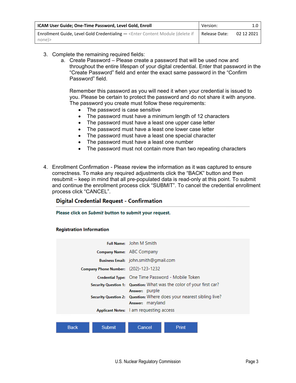| ICAM User Guide; One-Time Password, Level Gold, Enroll                                                          | Version:      |            |
|-----------------------------------------------------------------------------------------------------------------|---------------|------------|
| <b>Enrollment Guide, Level Gold Credentialing — <enter (delete="" b="" content="" if<="" module=""></enter></b> | Release Date: | 02 12 2021 |
| none)>                                                                                                          |               |            |

- 3. Complete the remaining required fields:
	- a. Create Password Please create a password that will be used now and throughout the entire lifespan of your digital credential. Enter that password in the "Create Password" field and enter the exact same password in the "Confirm Password" field.

Remember this password as you will need it when your credential is issued to you. Please be certain to protect the password and do not share it with anyone. The password you create must follow these requirements:

- The password is case sensitive
- The password must have a minimum length of 12 characters
- The password must have a least one upper case letter
- The password must have a least one lower case letter
- The password must have a least one special character
- The password must have a least one number
- The password must not contain more than two repeating characters
- 4. Enrollment Confirmation Please review the information as it was captured to ensure correctness. To make any required adjustments click the "BACK" button and then resubmit – keep in mind that all pre-populated data is read-only at this point. To submit and continue the enrollment process click "SUBMIT". To cancel the credential enrollment process click "CANCEL".

#### **Digital Credential Request - Confirmation**

Please click on Submit button to submit your request.

#### **Registration Information**

|                       | <b>Full Name:</b> John M Smith                                                                             |
|-----------------------|------------------------------------------------------------------------------------------------------------|
|                       | Company Name: ABC Company                                                                                  |
|                       | Business Email: john.smith@gmail.com                                                                       |
|                       | Company Phone Number: (202)-123-1232                                                                       |
|                       | Credential Type: One Time Password - Mobile Token                                                          |
|                       | Security Question 1: Question: What was the color of your first car?                                       |
|                       | Answer: purple<br>Security Question 2: Question: Where does your nearest sibling live?<br>Answer: maryland |
|                       | Applicant Notes:   am requesting access                                                                    |
|                       |                                                                                                            |
| <b>Back</b><br>Submit | Cancel<br>Print                                                                                            |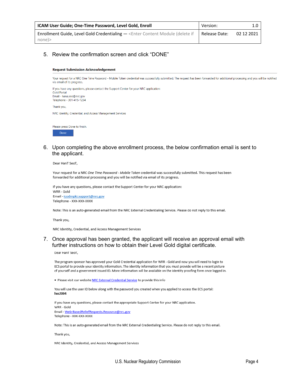| <b>ICAM User Guide; One-Time Password, Level Gold, Enroll</b>                                                   | Version:      |            |
|-----------------------------------------------------------------------------------------------------------------|---------------|------------|
| <b>Enrollment Guide, Level Gold Credentialing — <enter (delete="" b="" content="" if<="" module=""></enter></b> | Release Date: | 02 12 2021 |
| none)>                                                                                                          |               |            |

#### 5. Review the confirmation screen and click "DONE"

#### **Request Submission Acknowledgement**

Your request for a NRC One Time Password - Mobile Token credential was successfully submitted. The request has been forwarded for additional processing and you will be notified via email of its progress.

| If you have any questions, please contact the Support Center for your NRC application:<br><b>Gold Portal</b><br>Email - hana.seo@nrc.gov<br>Telephone - 301-415-1234 |  |
|----------------------------------------------------------------------------------------------------------------------------------------------------------------------|--|
| Thank you,                                                                                                                                                           |  |
| NRC Identity, Credential, and Access Management Services                                                                                                             |  |

| Please press Done to finish. |  |  |
|------------------------------|--|--|
| <b>Done</b>                  |  |  |

6. Upon completing the above enrollment process, the below confirmation email is sent to the applicant.

Dear HanT SeoT,

Your request for a NRC One Time Password - Mobile Token credential was successfully submitted. This request has been forwarded for additional processing and you will be notified via email of its progress.

If you have any questions, please contact the Support Center for your NRC application: WRR - Gold Email - icodmpki.support@nrc.gov Telephone - XXX-XXX-XXXX

Note: This is an auto-generated email from the NRC External Credentialing Service. Please do not reply to this email.

Thank you,

NRC Identity, Credential, and Access Management Services

#### 7. Once approval has been granted, the applicant will receive an approval email with further instructions on how to obtain their Level Gold digital certificate.

Dear HanT SeoT,

The program sponsor has approved your Gold Credential application for WRR - Gold and now you will need to login to ECS portal to provide your identity information. The identity information that you must provide will be a recent picture of yourself and a government issued ID. More information will be available on the identity proofing form once logged in.

. Please visit our website NRC External Credential Service to provide this info

You will use the user ID below along with the password you created when you applied to access the ECS portal: hxs2004

If you have any questions, please contact the appropriate Support Center for your NRC application. WRR - Gold Email - Web-BasedReliefRequests.Resource@nrc.gov Telephone - XXX-XXX-XXXX

Note: This is an auto-generated email from the NRC External Credentialing Service. Please do not reply to this email.

Thank you,

NRC Identity, Credential, and Access Management Services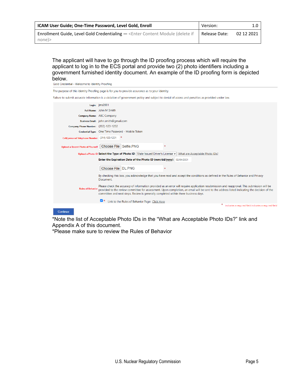| <b>ICAM User Guide; One-Time Password, Level Gold, Enroll</b>                  | Version:      |            |
|--------------------------------------------------------------------------------|---------------|------------|
| Enrollment Guide, Level Gold Credentialing - < Enter Content Module (delete if | Release Date: | 02 12 2021 |
| none)>                                                                         |               |            |

The applicant will have to go through the ID proofing process which will require the applicant to log in to the ECS portal and provide two (2) photo identifiers including a government furnished identity document. An example of the ID proofing form is depicted below.

| Gold Credential - Welcome to identity Proofing |                                                                                                                                                                                                                                                                                                                                                                                    |
|------------------------------------------------|------------------------------------------------------------------------------------------------------------------------------------------------------------------------------------------------------------------------------------------------------------------------------------------------------------------------------------------------------------------------------------|
|                                                | The purpose of this Identity Proofing page is for you to provide assurance as to your identity.                                                                                                                                                                                                                                                                                    |
|                                                | Failure to submit accurate information is a violation of government policy and subject to denial of access and penalties as provided under law.                                                                                                                                                                                                                                    |
|                                                | Login: ims2001                                                                                                                                                                                                                                                                                                                                                                     |
|                                                | Full Name: John M Smith                                                                                                                                                                                                                                                                                                                                                            |
| Company Name: ABC Company                      |                                                                                                                                                                                                                                                                                                                                                                                    |
|                                                | Business Email: john.smith@gmail.com                                                                                                                                                                                                                                                                                                                                               |
| Company Phone Number: (202)-123-1232           |                                                                                                                                                                                                                                                                                                                                                                                    |
|                                                | Credential Type: One Time Password - Mobile Token                                                                                                                                                                                                                                                                                                                                  |
| Cell/personal Telephone Number (214)-123-1231  |                                                                                                                                                                                                                                                                                                                                                                                    |
| <b>Upload a Recent Photo of Yourself</b>       | <b>Choose File</b><br>Selfie.PNG                                                                                                                                                                                                                                                                                                                                                   |
|                                                | Upload a Photo ID Select the Type of Photo ID: State Issued Driver's License $\vee$ What are Acceptable Photo IDs?                                                                                                                                                                                                                                                                 |
|                                                | Enter the Expiration Date of the Photo ID (mm/dd/yyyy): 02/04/2021                                                                                                                                                                                                                                                                                                                 |
|                                                | Choose File   DL.PNG                                                                                                                                                                                                                                                                                                                                                               |
|                                                | By checking this box, you acknowledge that you have read and accept the conditions as defined in the Rules of Behavior and Privacy<br>Document.                                                                                                                                                                                                                                    |
| <b>Rules of Behavior</b>                       | Please check the accuracy of information provided as an error will require application resubmission and reapproval. This submission will be<br>provided to the review committee for assessment. Upon completion, an email will be sent to the address listed indicating the decision of the<br>committee and next steps. Review is generally completed within three business days. |
|                                                | Link to the Rules of Behavior Page: Click Here                                                                                                                                                                                                                                                                                                                                     |
|                                                | indicates a required field indicates a required fiel                                                                                                                                                                                                                                                                                                                               |
| Continue                                       |                                                                                                                                                                                                                                                                                                                                                                                    |

\*Note the list of Acceptable Photo IDs in the "What are Acceptable Photo IDs?" link and Appendix A of this document.

\*Please make sure to review the Rules of Behavior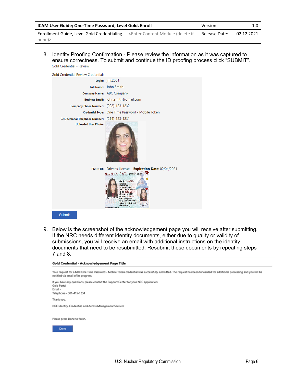| <b>ICAM User Guide; One-Time Password, Level Gold, Enroll</b>                                                   | Version:      | 1.0 <sub>1</sub> |
|-----------------------------------------------------------------------------------------------------------------|---------------|------------------|
| <b>Enrollment Guide, Level Gold Credentialing — <enter (delete="" b="" content="" if<="" module=""></enter></b> | Release Date: | 02 12 2021       |
| none)>                                                                                                          |               |                  |

8. Identity Proofing Confirmation - Please review the information as it was captured to ensure correctness. To submit and continue the ID proofing process click "SUBMIT".<br>Gold Credential - Review



9. Below is the screenshot of the acknowledgement page you will receive after submitting. If the NRC needs different identity documents, either due to quality or validity of submissions, you will receive an email with additional instructions on the identity documents that need to be resubmitted. Resubmit these documents by repeating steps 7 and 8.

#### Gold Credential - Acknowledgement Page Title

Your request for a NRC One Time Password - Mobile Token credential was successfully submitted. The request has been forwarded for additional processing and you will be notified via email of its progress.

If you have any questions, please contact the Support Center for your NRC application: Gold Portal Email -Telephone - 301-415-1234 Thank you, NRC Identity, Credential, and Access Management Services

Please press Done to finish.

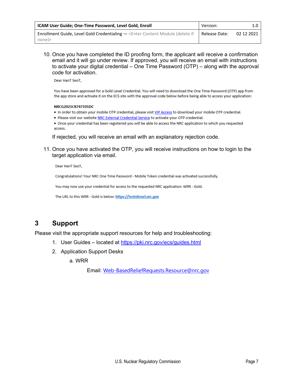| <b>ICAM User Guide; One-Time Password, Level Gold, Enroll</b>                  | Version:      | 1.0 <sub>1</sub> |
|--------------------------------------------------------------------------------|---------------|------------------|
| Enrollment Guide, Level Gold Credentialing - < Enter Content Module (delete if | Release Date: | 02 12 2021       |
| none)>                                                                         |               |                  |

10. Once you have completed the ID proofing form, the applicant will receive a confirmation email and it will go under review. If approved, you will receive an email with instructions to activate your digital credential – One Time Password (OTP) – along with the approval code for activation.

Dear HanT SeoT,

You have been approved for a Gold Level Credential. You will need to download the One Time Password (OTP) app from the app store and activate it on the ECS site with the approval code below before being able to access your application:

#### NRCG2021CB747191DC

- . In order to obtain your mobile OTP credential, please visit VIP Access to download your mobile OTP credential.
- . Please visit our website NRC External Credential Service to activate your OTP credential.
- . Once your credential has been registered you will be able to access the NRC application to which you requested access.

If rejected, you will receive an email with an explanatory rejection code.

11. Once you have activated the OTP, you will receive instructions on how to login to the target application via email.

Dear HanT SeoT,

Congratulations! Your NRC One Time Password - Mobile Token credential was activated successfully.

You may now use your credential for access to the requested NRC application: WRR - Gold.

The URL to this WRR - Gold is below: https://testsiteurl.nrc.gov

### <span id="page-11-0"></span>**3 Support**

Please visit the appropriate support resources for help and troubleshooting:

- 1. User Guides located at<https://pki.nrc.gov/ecs/guides.html>
- 2. Application Support Desks
	- a. WRR

Email: [Web-BasedReliefRequests.Resource@nrc.gov](mailto:Web-BasedReliefRequests.Resource@nrc.gov)